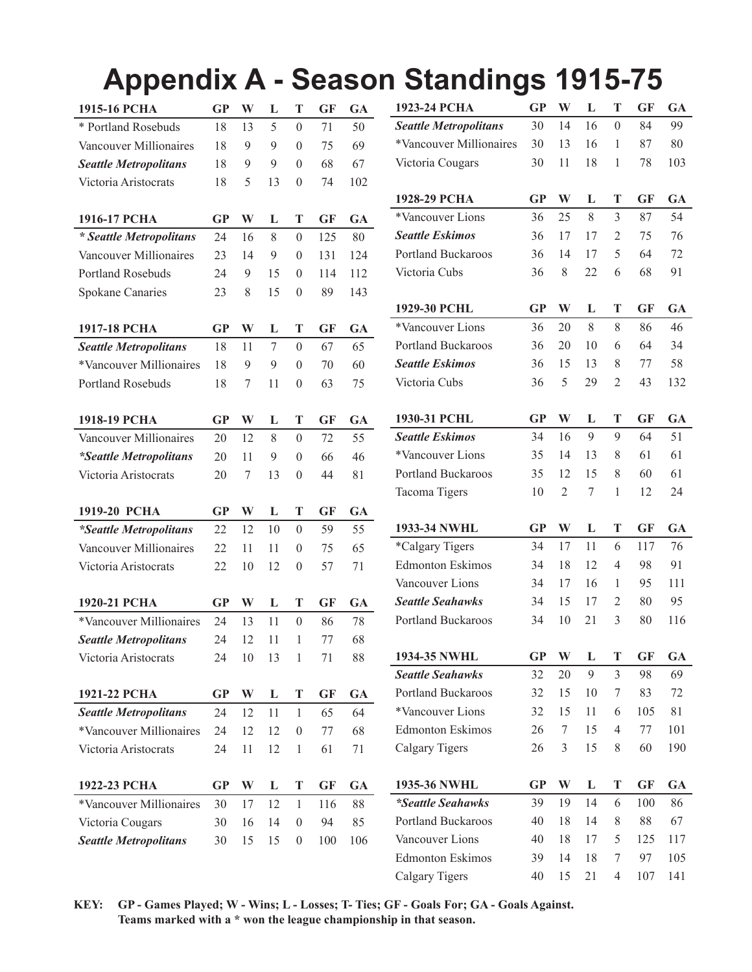# **Appendix A - Season Standings 1915-75**

| 1915-16 РСНА                  | <b>GP</b> | W  | L  | T                | <b>GF</b> | GA  |  |
|-------------------------------|-----------|----|----|------------------|-----------|-----|--|
| * Portland Rosebuds           | 18        | 13 | 5  | $\mathbf{0}$     | 71        | 50  |  |
| Vancouver Millionaires        | 18        | 9  | 9  | $\boldsymbol{0}$ | 75        | 69  |  |
| <b>Seattle Metropolitans</b>  | 18        | 9  | 9  | $\boldsymbol{0}$ | 68        | 67  |  |
| Victoria Aristocrats          | 18        | 5  | 13 | $\boldsymbol{0}$ | 74        | 102 |  |
|                               |           |    |    |                  |           |     |  |
| 1916-17 РСНА                  | <b>GP</b> | W  | L  | T                | <b>GF</b> | GA  |  |
| * Seattle Metropolitans       | 24        | 16 | 8  | $\theta$         | 125       | 80  |  |
| Vancouver Millionaires        | 23        | 14 | 9  | $\mathbf{0}$     | 131       | 124 |  |
| <b>Portland Rosebuds</b>      | 24        | 9  | 15 | $\mathbf{0}$     | 114       | 112 |  |
| <b>Spokane Canaries</b>       | 23        | 8  | 15 | $\boldsymbol{0}$ | 89        | 143 |  |
|                               |           |    |    |                  |           |     |  |
| 1917-18 РСНА                  | <b>GP</b> | W  | L  | Т                | GF        | GA  |  |
| <b>Seattle Metropolitans</b>  | 18        | 11 | 7  | $\boldsymbol{0}$ | 67        | 65  |  |
| *Vancouver Millionaires       | 18        | 9  | 9  | $\mathbf{0}$     | 70        | 60  |  |
| <b>Portland Rosebuds</b>      | 18        | 7  | 11 | $\boldsymbol{0}$ | 63        | 75  |  |
|                               |           |    |    |                  |           |     |  |
| 1918-19 РСНА                  | <b>GP</b> | W  | L  | T                | <b>GF</b> | GA  |  |
| Vancouver Millionaires        | 20        | 12 | 8  | $\theta$         | 72        | 55  |  |
| <i>*Seattle Metropolitans</i> | 20        | 11 | 9  | $\boldsymbol{0}$ | 66        | 46  |  |
| Victoria Aristocrats          | 20        | 7  | 13 | $\boldsymbol{0}$ | 44        | 81  |  |
|                               |           |    |    |                  |           |     |  |
| 1919-20 PCHA                  | <b>GP</b> | W  | L  | T                | <b>GF</b> | GA  |  |
| <i>*Seattle Metropolitans</i> | 22        | 12 | 10 | $\theta$         | 59        | 55  |  |
| Vancouver Millionaires        | 22        | 11 | 11 | $\boldsymbol{0}$ | 75        | 65  |  |
| Victoria Aristocrats          | 22        | 10 | 12 | $\boldsymbol{0}$ | 57        | 71  |  |
|                               |           |    |    |                  |           |     |  |
| 1920-21 РСНА                  | <b>GP</b> | W  | L  | T                | <b>GF</b> | GA  |  |
| *Vancouver Millionaires       | 24        | 13 | 11 | $\mathbf{0}$     | 86        | 78  |  |
| <b>Seattle Metropolitans</b>  | 24        | 12 | 11 | 1                | 77        | 68  |  |
| Victoria Aristocrats          | 24        | 10 | 13 | 1                | 71        | 88  |  |
|                               |           |    |    |                  |           |     |  |
| 1921-22 РСНА                  | <b>GP</b> | W  | L  | T                | <b>GF</b> | GA  |  |
| <b>Seattle Metropolitans</b>  | 24        | 12 | 11 | 1                | 65        | 64  |  |
| *Vancouver Millionaires       | 24        | 12 | 12 | $\boldsymbol{0}$ | 77        | 68  |  |
| Victoria Aristocrats          | 24        | 11 | 12 | $\mathbf{1}$     | 61        | 71  |  |
|                               |           |    |    |                  |           |     |  |
| 1922-23 РСНА                  | GP        | W  | L  | T                | GF        | GA  |  |
| *Vancouver Millionaires       | 30        | 17 | 12 | 1                | 116       | 88  |  |
| Victoria Cougars              | 30        | 16 | 14 | $\boldsymbol{0}$ | 94        | 85  |  |
| <b>Seattle Metropolitans</b>  | 30        | 15 | 15 | 0                | 100       | 106 |  |

| 1923-24 РСНА                 | GP        | W              | L  | T              | <b>GF</b> | <b>GA</b> |
|------------------------------|-----------|----------------|----|----------------|-----------|-----------|
| <b>Seattle Metropolitans</b> | 30        | 14             | 16 | $\theta$       | 84        | 99        |
| *Vancouver Millionaires      | 30        | 13             | 16 | 1              | 87        | 80        |
| Victoria Cougars             | 30        | 11             | 18 | $\mathbf{1}$   | 78        | 103       |
| 1928-29 РСНА                 | GP        | W              | L  | T              | <b>GF</b> | <b>GA</b> |
| *Vancouver Lions             | 36        | 25             | 8  | 3              | 87        | 54        |
| <b>Seattle Eskimos</b>       | 36        | 17             | 17 | 2              | 75        | 76        |
| Portland Buckaroos           | 36        | 14             | 17 | 5              | 64        | 72        |
| Victoria Cubs                | 36        | 8              | 22 | 6              | 68        | 91        |
| 1929-30 PCHL                 | <b>GP</b> | W              | L  | T              | <b>GF</b> | <b>GA</b> |
| *Vancouver Lions             | 36        | 20             | 8  | 8              | 86        | 46        |
| <b>Portland Buckaroos</b>    | 36        | 20             | 10 | 6              | 64        | 34        |
| <b>Seattle Eskimos</b>       | 36        | 15             | 13 | 8              | 77        | 58        |
| Victoria Cubs                | 36        | 5              | 29 | $\overline{c}$ | 43        | 132       |
|                              |           |                |    |                |           |           |
| 1930-31 PCHL                 | GP        | W              | L  | T              | <b>GF</b> | GA        |
| <b>Seattle Eskimos</b>       | 34        | 16             | 9  | 9              | 64        | 51        |
| *Vancouver Lions             | 35        | 14             | 13 | 8              | 61        | 61        |
| Portland Buckaroos           | 35        | 12             | 15 | 8              | 60        | 61        |
| Tacoma Tigers                | 10        | $\overline{2}$ | 7  | 1              | 12        | 24        |
| 1933-34 NWHL                 | <b>GP</b> | W              | L  | T              | <b>GF</b> | GA        |
| *Calgary Tigers              | 34        | 17             | 11 | 6              | 117       | 76        |
| <b>Edmonton Eskimos</b>      | 34        | 18             | 12 | $\overline{4}$ | 98        | 91        |
| Vancouver Lions              | 34        | 17             | 16 | 1              | 95        | 111       |
| <b>Seattle Seahawks</b>      | 34        | 15             | 17 | 2              | 80        | 95        |
| <b>Portland Buckaroos</b>    | 34        | 10             | 21 | 3              | 80        | 116       |
| 1934-35 NWHL                 | <b>GP</b> | W              | L  | T              | <b>GF</b> | <b>GA</b> |
| <b>Seattle Seahawks</b>      | 32        | 20             | 9  | 3              | 98        | 69        |
| <b>Portland Buckaroos</b>    | 32        | 15             | 10 | 7              | 83        | 72        |
| *Vancouver Lions             | 32        | 15             | 11 | 6              | 105       | 81        |
| <b>Edmonton Eskimos</b>      | 26        | 7              | 15 | 4              | 77        | 101       |
| Calgary Tigers               | 26        | 3              | 15 | 8              | 60        | 190       |
| 1935-36 NWHL                 | <b>GP</b> | W              | L  | Т              | <b>GF</b> | GA        |
| *Seattle Seahawks            | 39        | 19             | 14 | 6              | 100       | 86        |
| <b>Portland Buckaroos</b>    | 40        | 18             | 14 | 8              | 88        | 67        |
| Vancouver Lions              | 40        | 18             | 17 | 5              | 125       | 117       |
| <b>Edmonton Eskimos</b>      | 39        | 14             | 18 | 7              | 97        | 105       |
| Calgary Tigers               | 40        | 15             | 21 | 4              | 107       | 141       |

**KEY: GP - Games Played; W - Wins; L - Losses; T- Ties; GF - Goals For; GA - Goals Against. Teams marked with a \* won the league championship in that season.**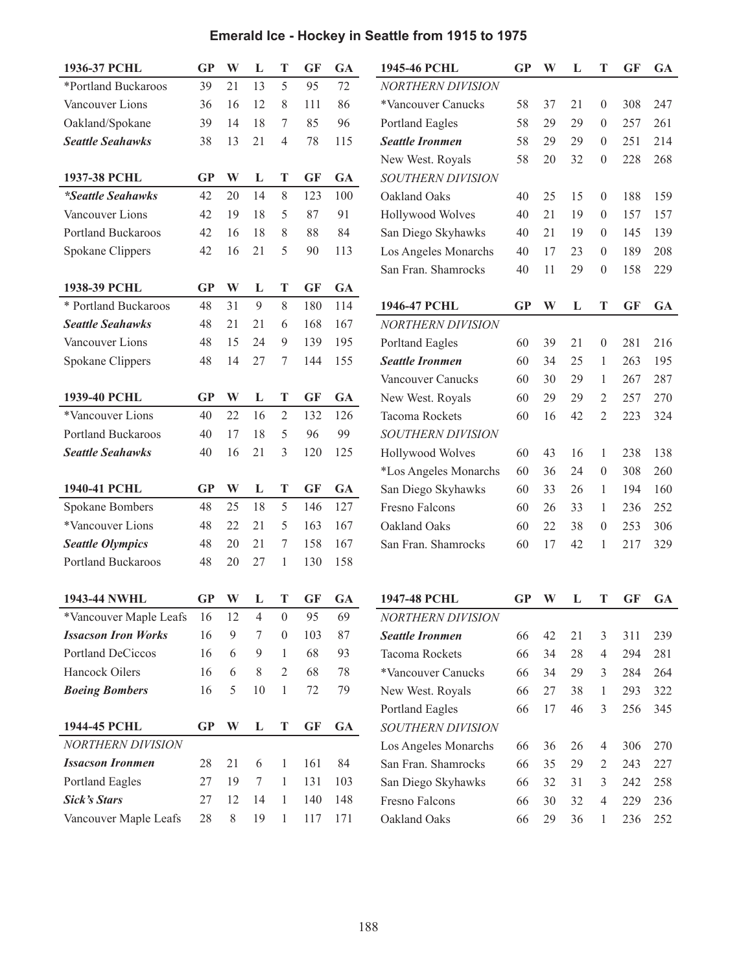| 1936-37 PCHL               | <b>GP</b> | W     | L              | T                | <b>GF</b> | <b>GA</b> | 1945-46 PCHL             | GP        | W  | L  | T                | <b>GF</b> | <b>GA</b> |
|----------------------------|-----------|-------|----------------|------------------|-----------|-----------|--------------------------|-----------|----|----|------------------|-----------|-----------|
| *Portland Buckaroos        | 39        | 21    | 13             | 5                | 95        | 72        | <b>NORTHERN DIVISION</b> |           |    |    |                  |           |           |
| Vancouver Lions            | 36        | 16    | 12             | 8                | 111       | 86        | *Vancouver Canucks       | 58        | 37 | 21 | $\boldsymbol{0}$ | 308       | 247       |
| Oakland/Spokane            | 39        | 14    | 18             | 7                | 85        | 96        | Portland Eagles          | 58        | 29 | 29 | $\boldsymbol{0}$ | 257       | 261       |
| <b>Seattle Seahawks</b>    | 38        | 13    | 21             | 4                | 78        | 115       | <b>Seattle Ironmen</b>   | 58        | 29 | 29 | $\mathbf{0}$     | 251       | 214       |
|                            |           |       |                |                  |           |           | New West. Royals         | 58        | 20 | 32 | $\boldsymbol{0}$ | 228       | 268       |
| 1937-38 PCHL               | <b>GP</b> | W     | L              | T                | <b>GF</b> | <b>GA</b> | SOUTHERN DIVISION        |           |    |    |                  |           |           |
| *Seattle Seahawks          | 42        | 20    | 14             | 8                | 123       | 100       | Oakland Oaks             | 40        | 25 | 15 | $\boldsymbol{0}$ | 188       | 159       |
| Vancouver Lions            | 42        | 19    | 18             | 5                | 87        | 91        | Hollywood Wolves         | 40        | 21 | 19 | $\boldsymbol{0}$ | 157       | 157       |
| <b>Portland Buckaroos</b>  | 42        | 16    | 18             | 8                | 88        | 84        | San Diego Skyhawks       | 40        | 21 | 19 | $\boldsymbol{0}$ | 145       | 139       |
| Spokane Clippers           | 42        | 16    | 21             | 5                | 90        | 113       | Los Angeles Monarchs     | 40        | 17 | 23 | $\mathbf{0}$     | 189       | 208       |
|                            |           |       |                |                  |           |           | San Fran. Shamrocks      | 40        | 11 | 29 | $\boldsymbol{0}$ | 158       | 229       |
| 1938-39 PCHL               | <b>GP</b> | W     | L              | T                | <b>GF</b> | <b>GA</b> |                          |           |    |    |                  |           |           |
| * Portland Buckaroos       | 48        | 31    | 9              | $8\,$            | 180       | 114       | 1946-47 PCHL             | <b>GP</b> | W  | L  | T                | <b>GF</b> | <b>GA</b> |
| <b>Seattle Seahawks</b>    | 48        | 21    | 21             | 6                | 168       | 167       | <b>NORTHERN DIVISION</b> |           |    |    |                  |           |           |
| Vancouver Lions            | 48        | 15    | 24             | 9                | 139       | 195       | Porltand Eagles          | 60        | 39 | 21 | $\boldsymbol{0}$ | 281       | 216       |
| Spokane Clippers           | 48        | 14    | 27             | 7                | 144       | 155       | <b>Seattle Ironmen</b>   | 60        | 34 | 25 | 1                | 263       | 195       |
|                            |           |       |                |                  |           |           | Vancouver Canucks        | 60        | 30 | 29 | $\mathbf{1}$     | 267       | 287       |
| 1939-40 PCHL               | <b>GP</b> | W     | L              | T                | <b>GF</b> | <b>GA</b> | New West. Royals         | 60        | 29 | 29 | $\mathfrak{2}$   | 257       | 270       |
| *Vancouver Lions           | 40        | 22    | 16             | $\overline{2}$   | 132       | 126       | <b>Tacoma Rockets</b>    | 60        | 16 | 42 | $\overline{2}$   | 223       | 324       |
| <b>Portland Buckaroos</b>  | 40        | 17    | 18             | 5                | 96        | 99        | SOUTHERN DIVISION        |           |    |    |                  |           |           |
| <b>Seattle Seahawks</b>    | 40        | 16    | 21             | 3                | 120       | 125       | Hollywood Wolves         | 60        | 43 | 16 | 1                | 238       | 138       |
|                            |           |       |                |                  |           |           | *Los Angeles Monarchs    | 60        | 36 | 24 | $\boldsymbol{0}$ | 308       | 260       |
| 1940-41 PCHL               | <b>GP</b> | W     | L              | T                | <b>GF</b> | <b>GA</b> | San Diego Skyhawks       | 60        | 33 | 26 | 1                | 194       | 160       |
| Spokane Bombers            | 48        | 25    | 18             | 5                | 146       | 127       | Fresno Falcons           | 60        | 26 | 33 | 1                | 236       | 252       |
| *Vancouver Lions           | 48        | 22    | 21             | 5                | 163       | 167       | Oakland Oaks             | 60        | 22 | 38 | $\boldsymbol{0}$ | 253       | 306       |
| <b>Seattle Olympics</b>    | 48        | 20    | 21             | 7                | 158       | 167       | San Fran. Shamrocks      | 60        | 17 | 42 | 1                | 217       | 329       |
| Portland Buckaroos         | 48        | 20    | 27             | 1                | 130       | 158       |                          |           |    |    |                  |           |           |
|                            |           |       |                |                  |           |           |                          |           |    |    |                  |           |           |
| 1943-44 NWHL               | GP        | W     | L              | T                | <b>GF</b> | <b>GA</b> | 1947-48 PCHL             | GP        | W  | L  | T                | <b>GF</b> | <b>GA</b> |
| *Vancouver Maple Leafs     | 16        | 12    | 4              | $\mathbf{0}$     | 95        | 69        | <b>NORTHERN DIVISION</b> |           |    |    |                  |           |           |
| <b>Issacson Iron Works</b> | 16        | 9     | 7              | $\boldsymbol{0}$ | 103       | 87        | <b>Seattle Ironmen</b>   | 66        | 42 | 21 | $\mathfrak{Z}$   | 311       | 239       |
| Portland DeCiccos          | 16        | 6     | $\overline{9}$ | 1                | 68        | 93        | Tacoma Rockets           | 66        | 34 | 28 | $\overline{4}$   | 294       | 281       |
| Hancock Oilers             | 16        | 6     | $8\,$          | $\overline{2}$   | 68        | 78        | *Vancouver Canucks       | 66        | 34 | 29 | 3                | 284       | 264       |
| <b>Boeing Bombers</b>      | 16        | 5     | 10             | $\mathbf{1}$     | 72        | 79        | New West. Royals         | 66        | 27 | 38 | 1                | 293       | 322       |
|                            |           |       |                |                  |           |           | Portland Eagles          | 66        | 17 | 46 | 3                | 256       | 345       |
| 1944-45 PCHL               | GP        | W     | L              | T                | <b>GF</b> | <b>GA</b> | SOUTHERN DIVISION        |           |    |    |                  |           |           |
| NORTHERN DIVISION          |           |       |                |                  |           |           | Los Angeles Monarchs     | 66        | 36 | 26 | 4                | 306       | 270       |
| <b>Issacson Ironmen</b>    | 28        | 21    | 6              | 1                | 161       | 84        | San Fran. Shamrocks      | 66        | 35 | 29 | 2                | 243       | 227       |
| Portland Eagles            | 27        | 19    | 7              | 1                | 131       | 103       | San Diego Skyhawks       | 66        | 32 | 31 | 3                | 242       | 258       |
| <b>Sick's Stars</b>        | 27        | 12    | 14             | $\mathbf{1}$     | 140       | 148       | Fresno Falcons           | 66        | 30 | 32 | 4                | 229       | 236       |
| Vancouver Maple Leafs      | 28        | $8\,$ | 19             | 1                | 117       | 171       | Oakland Oaks             | 66        | 29 | 36 | 1                | 236       | 252       |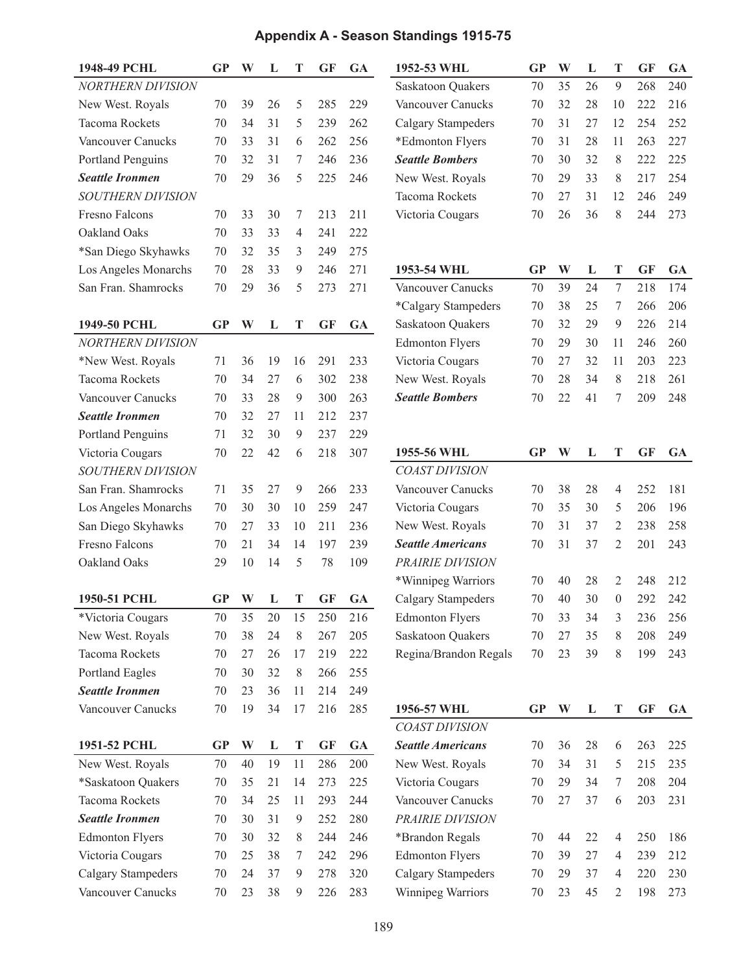### **Appendix A - Season Standings 1915-75**

| 1948-49 PCHL              | <b>GP</b> | W  | L  | Т           | GF        | <b>GA</b> | 1952-53 WHL               | <b>GP</b> | W  | L  | T              | <b>GF</b> | <b>GA</b> |
|---------------------------|-----------|----|----|-------------|-----------|-----------|---------------------------|-----------|----|----|----------------|-----------|-----------|
| <b>NORTHERN DIVISION</b>  |           |    |    |             |           |           | Saskatoon Quakers         | 70        | 35 | 26 | 9              | 268       | 240       |
| New West. Royals          | 70        | 39 | 26 | 5           | 285       | 229       | Vancouver Canucks         | 70        | 32 | 28 | 10             | 222       | 216       |
| Tacoma Rockets            | 70        | 34 | 31 | 5           | 239       | 262       | <b>Calgary Stampeders</b> | 70        | 31 | 27 | 12             | 254       | 252       |
| Vancouver Canucks         | 70        | 33 | 31 | 6           | 262       | 256       | *Edmonton Flyers          | 70        | 31 | 28 | 11             | 263       | 227       |
| Portland Penguins         | 70        | 32 | 31 | 7           | 246       | 236       | <b>Seattle Bombers</b>    | 70        | 30 | 32 | 8              | 222       | 225       |
| <b>Seattle Ironmen</b>    | 70        | 29 | 36 | 5           | 225       | 246       | New West. Royals          | 70        | 29 | 33 | 8              | 217       | 254       |
| <b>SOUTHERN DIVISION</b>  |           |    |    |             |           |           | <b>Tacoma Rockets</b>     | 70        | 27 | 31 | 12             | 246       | 249       |
| Fresno Falcons            | 70        | 33 | 30 | 7           | 213       | 211       | Victoria Cougars          | 70        | 26 | 36 | 8              | 244       | 273       |
| Oakland Oaks              | 70        | 33 | 33 | 4           | 241       | 222       |                           |           |    |    |                |           |           |
| *San Diego Skyhawks       | 70        | 32 | 35 | 3           | 249       | 275       |                           |           |    |    |                |           |           |
| Los Angeles Monarchs      | 70        | 28 | 33 | 9           | 246       | 271       | 1953-54 WHL               | <b>GP</b> | W  | L  | T              | GF        | <b>GA</b> |
| San Fran. Shamrocks       | 70        | 29 | 36 | 5           | 273       | 271       | Vancouver Canucks         | 70        | 39 | 24 | 7              | 218       | 174       |
|                           |           |    |    |             |           |           | *Calgary Stampeders       | 70        | 38 | 25 | 7              | 266       | 206       |
| 1949-50 PCHL              | <b>GP</b> | W  | L  | T           | <b>GF</b> | <b>GA</b> | <b>Saskatoon Quakers</b>  | 70        | 32 | 29 | 9              | 226       | 214       |
| <b>NORTHERN DIVISION</b>  |           |    |    |             |           |           | <b>Edmonton Flyers</b>    | 70        | 29 | 30 | 11             | 246       | 260       |
| *New West. Royals         | 71        | 36 | 19 | 16          | 291       | 233       | Victoria Cougars          | 70        | 27 | 32 | 11             | 203       | 223       |
| <b>Tacoma Rockets</b>     | 70        | 34 | 27 | 6           | 302       | 238       | New West. Royals          | 70        | 28 | 34 | 8              | 218       | 261       |
| Vancouver Canucks         | 70        | 33 | 28 | 9           | 300       | 263       | <b>Seattle Bombers</b>    | 70        | 22 | 41 | 7              | 209       | 248       |
| <b>Seattle Ironmen</b>    | 70        | 32 | 27 | 11          | 212       | 237       |                           |           |    |    |                |           |           |
| Portland Penguins         | 71        | 32 | 30 | 9           | 237       | 229       |                           |           |    |    |                |           |           |
| Victoria Cougars          | 70        | 22 | 42 | 6           | 218       | 307       | 1955-56 WHL               | <b>GP</b> | W  | L  | T              | <b>GF</b> | <b>GA</b> |
| SOUTHERN DIVISION         |           |    |    |             |           |           | <b>COAST DIVISION</b>     |           |    |    |                |           |           |
| San Fran. Shamrocks       | 71        | 35 | 27 | 9           | 266       | 233       | Vancouver Canucks         | 70        | 38 | 28 | 4              | 252       | 181       |
| Los Angeles Monarchs      | 70        | 30 | 30 | 10          | 259       | 247       | Victoria Cougars          | 70        | 35 | 30 | 5              | 206       | 196       |
| San Diego Skyhawks        | 70        | 27 | 33 | 10          | 211       | 236       | New West. Royals          | 70        | 31 | 37 | 2              | 238       | 258       |
| <b>Fresno Falcons</b>     | 70        | 21 | 34 | 14          | 197       | 239       | <b>Seattle Americans</b>  | 70        | 31 | 37 | 2              | 201       | 243       |
| Oakland Oaks              | 29        | 10 | 14 | 5           | 78        | 109       | PRAIRIE DIVISION          |           |    |    |                |           |           |
|                           |           |    |    |             |           |           | *Winnipeg Warriors        | 70        | 40 | 28 | 2              | 248       | 212       |
| 1950-51 PCHL              | <b>GP</b> | W  | L  | Т           | <b>GF</b> | <b>GA</b> | Calgary Stampeders        | 70        | 40 | 30 | $\theta$       | 292       | 242       |
| *Victoria Cougars         | 70        | 35 | 20 | 15          | 250       | 216       | <b>Edmonton Flyers</b>    | 70        | 33 | 34 | 3              | 236       | 256       |
| New West. Royals          | 70        | 38 | 24 | $\,$ 8 $\,$ | 267       | 205       | <b>Saskatoon Quakers</b>  | 70        | 27 | 35 | 8              | 208       | 249       |
| Tacoma Rockets            | 70        | 27 | 26 | 17          | 219       | 222       | Regina/Brandon Regals     | $70\,$    | 23 | 39 | 8              | 199       | 243       |
| Portland Eagles           | 70        | 30 | 32 | $8\,$       | 266       | 255       |                           |           |    |    |                |           |           |
| <b>Seattle Ironmen</b>    | 70        | 23 | 36 | 11          | 214       | 249       |                           |           |    |    |                |           |           |
| Vancouver Canucks         | 70        | 19 | 34 | 17          | 216       | 285       | 1956-57 WHL               | GP        | W  | L  | T              | <b>GF</b> | <b>GA</b> |
|                           |           |    |    |             |           |           | <b>COAST DIVISION</b>     |           |    |    |                |           |           |
| 1951-52 PCHL              | <b>GP</b> | W  | L  | T           | <b>GF</b> | <b>GA</b> | <b>Seattle Americans</b>  | 70        | 36 | 28 | 6              | 263       | 225       |
| New West. Royals          | 70        | 40 | 19 | 11          | 286       | 200       | New West. Royals          | 70        | 34 | 31 | 5              | 215       | 235       |
| *Saskatoon Quakers        | $70\,$    | 35 | 21 | 14          | 273       | 225       | Victoria Cougars          | $70\,$    | 29 | 34 | 7              | 208       | 204       |
| Tacoma Rockets            | 70        | 34 | 25 | 11          | 293       | 244       | Vancouver Canucks         | $70\,$    | 27 | 37 | 6              | 203       | 231       |
| <b>Seattle Ironmen</b>    | 70        | 30 | 31 | 9           | 252       | 280       | PRAIRIE DIVISION          |           |    |    |                |           |           |
| <b>Edmonton Flyers</b>    | 70        | 30 | 32 | 8           | 244       | 246       | *Brandon Regals           | 70        | 44 | 22 | 4              | 250       | 186       |
| Victoria Cougars          | $70\,$    | 25 | 38 | 7           | 242       | 296       | <b>Edmonton Flyers</b>    | 70        | 39 | 27 | 4              | 239       | 212       |
| <b>Calgary Stampeders</b> | $70\,$    | 24 | 37 | 9           | 278       | 320       | <b>Calgary Stampeders</b> | $70\,$    | 29 | 37 | 4              | 220       | 230       |
| Vancouver Canucks         | $70\,$    | 23 | 38 | 9           | 226       | 283       | Winnipeg Warriors         | 70        | 23 | 45 | $\overline{2}$ | 198       | 273       |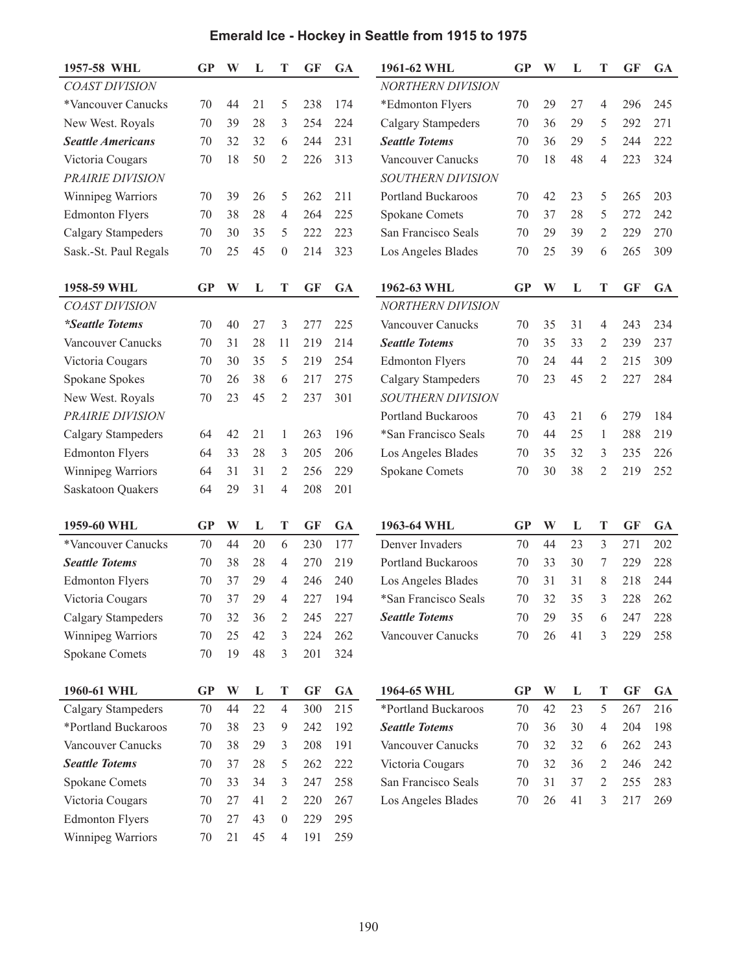| 1957-58 WHL               | <b>GP</b> | W  | L  | T                | <b>GF</b> | <b>GA</b> | 1961-62 WHL               | <b>GP</b> | W  | L  | T              | <b>GF</b> | GA        |
|---------------------------|-----------|----|----|------------------|-----------|-----------|---------------------------|-----------|----|----|----------------|-----------|-----------|
| <b>COAST DIVISION</b>     |           |    |    |                  |           |           | <b>NORTHERN DIVISION</b>  |           |    |    |                |           |           |
| *Vancouver Canucks        | 70        | 44 | 21 | 5                | 238       | 174       | *Edmonton Flyers          | 70        | 29 | 27 | $\overline{4}$ | 296       | 245       |
| New West. Royals          | 70        | 39 | 28 | 3                | 254       | 224       | Calgary Stampeders        | 70        | 36 | 29 | 5              | 292       | 271       |
| <b>Seattle Americans</b>  | 70        | 32 | 32 | 6                | 244       | 231       | <b>Seattle Totems</b>     | 70        | 36 | 29 | 5              | 244       | 222       |
| Victoria Cougars          | 70        | 18 | 50 | 2                | 226       | 313       | Vancouver Canucks         | 70        | 18 | 48 | 4              | 223       | 324       |
| PRAIRIE DIVISION          |           |    |    |                  |           |           | SOUTHERN DIVISION         |           |    |    |                |           |           |
| Winnipeg Warriors         | 70        | 39 | 26 | 5                | 262       | 211       | <b>Portland Buckaroos</b> | 70        | 42 | 23 | 5              | 265       | 203       |
| <b>Edmonton Flyers</b>    | 70        | 38 | 28 | 4                | 264       | 225       | Spokane Comets            | 70        | 37 | 28 | 5              | 272       | 242       |
| <b>Calgary Stampeders</b> | 70        | 30 | 35 | 5                | 222       | 223       | San Francisco Seals       | 70        | 29 | 39 | $\overline{2}$ | 229       | 270       |
| Sask.-St. Paul Regals     | 70        | 25 | 45 | $\theta$         | 214       | 323       | Los Angeles Blades        | 70        | 25 | 39 | 6              | 265       | 309       |
| 1958-59 WHL               | GP        | W  | L  | T                | <b>GF</b> | <b>GA</b> | 1962-63 WHL               | GP        | W  | L  | T              | <b>GF</b> | GA        |
| <b>COAST DIVISION</b>     |           |    |    |                  |           |           | <b>NORTHERN DIVISION</b>  |           |    |    |                |           |           |
| <i>*Seattle Totems</i>    | 70        | 40 | 27 | 3                | 277       | 225       | Vancouver Canucks         | 70        | 35 | 31 | 4              | 243       | 234       |
| Vancouver Canucks         | 70        | 31 | 28 | 11               | 219       | 214       | <b>Seattle Totems</b>     | 70        | 35 | 33 | 2              | 239       | 237       |
| Victoria Cougars          | 70        | 30 | 35 | 5                | 219       | 254       | <b>Edmonton Flyers</b>    | 70        | 24 | 44 | $\overline{2}$ | 215       | 309       |
| Spokane Spokes            | 70        | 26 | 38 | 6                | 217       | 275       | <b>Calgary Stampeders</b> | 70        | 23 | 45 | $\overline{2}$ | 227       | 284       |
| New West. Royals          | 70        | 23 | 45 | 2                | 237       | 301       | <b>SOUTHERN DIVISION</b>  |           |    |    |                |           |           |
| PRAIRIE DIVISION          |           |    |    |                  |           |           | <b>Portland Buckaroos</b> | 70        | 43 | 21 | 6              | 279       | 184       |
| Calgary Stampeders        | 64        | 42 | 21 | 1                | 263       | 196       | *San Francisco Seals      | 70        | 44 | 25 | 1              | 288       | 219       |
| <b>Edmonton Flyers</b>    | 64        | 33 | 28 | 3                | 205       | 206       | Los Angeles Blades        | 70        | 35 | 32 | 3              | 235       | 226       |
| Winnipeg Warriors         | 64        | 31 | 31 | $\overline{2}$   | 256       | 229       | <b>Spokane Comets</b>     | 70        | 30 | 38 | $\overline{2}$ | 219       | 252       |
| Saskatoon Quakers         | 64        | 29 | 31 | 4                | 208       | 201       |                           |           |    |    |                |           |           |
|                           |           |    |    |                  |           |           |                           |           |    |    |                |           |           |
| 1959-60 WHL               | GP        | W  | L  | T                | <b>GF</b> | <b>GA</b> | 1963-64 WHL               | <b>GP</b> | W  | L  | T              | <b>GF</b> | <b>GA</b> |
| *Vancouver Canucks        | 70        | 44 | 20 | 6                | 230       | 177       | Denver Invaders           | 70        | 44 | 23 | 3              | 271       | 202       |
| <b>Seattle Totems</b>     | 70        | 38 | 28 | 4                | 270       | 219       | <b>Portland Buckaroos</b> | 70        | 33 | 30 | 7              | 229       | 228       |
| <b>Edmonton Flyers</b>    | 70        | 37 | 29 | 4                | 246       | 240       | Los Angeles Blades        | 70        | 31 | 31 | 8              | 218       | 244       |
| Victoria Cougars          | 70        | 37 | 29 | 4                | 227       | 194       | *San Francisco Seals      | 70        | 32 | 35 | 3              | 228       | 262       |
| Calgary Stampeders        | 70        | 32 | 36 | $\overline{2}$   | 245       | 227       | <b>Seattle Totems</b>     | 70        | 29 | 35 | 6              | 247       | 228       |
| Winnipeg Warriors         | 70        | 25 | 42 | 3                | 224       | 262       | Vancouver Canucks         | 70        | 26 | 41 | 3              | 229       | 258       |
| <b>Spokane Comets</b>     | $70\,$    | 19 | 48 | 3                | 201       | 324       |                           |           |    |    |                |           |           |
| 1960-61 WHL               | <b>GP</b> | W  | L  | T                | <b>GF</b> | <b>GA</b> | 1964-65 WHL               | <b>GP</b> | W  | L  | T              | <b>GF</b> | GA        |
| Calgary Stampeders        | 70        | 44 | 22 | $\overline{4}$   | 300       | 215       | *Portland Buckaroos       | 70        | 42 | 23 | 5              | 267       | 216       |
| *Portland Buckaroos       | 70        | 38 | 23 | 9                | 242       | 192       | <b>Seattle Totems</b>     | 70        | 36 | 30 | $\overline{4}$ | 204       | 198       |
| Vancouver Canucks         | 70        | 38 | 29 | 3                | 208       | 191       | Vancouver Canucks         | 70        | 32 | 32 | 6              | 262       | 243       |
| <b>Seattle Totems</b>     | 70        | 37 | 28 | 5                | 262       | 222       | Victoria Cougars          | 70        | 32 | 36 | $\mathfrak{2}$ | 246       | 242       |
| Spokane Comets            | 70        | 33 | 34 | 3                | 247       | 258       | San Francisco Seals       | 70        | 31 | 37 | $\overline{2}$ | 255       | 283       |
| Victoria Cougars          | 70        | 27 | 41 | 2                | 220       | 267       | Los Angeles Blades        | $70\,$    | 26 | 41 | 3              | 217       | 269       |
| <b>Edmonton Flyers</b>    | 70        | 27 | 43 | $\boldsymbol{0}$ | 229       | 295       |                           |           |    |    |                |           |           |
| Winnipeg Warriors         | 70        | 21 | 45 | 4                | 191       | 259       |                           |           |    |    |                |           |           |
|                           |           |    |    |                  |           |           |                           |           |    |    |                |           |           |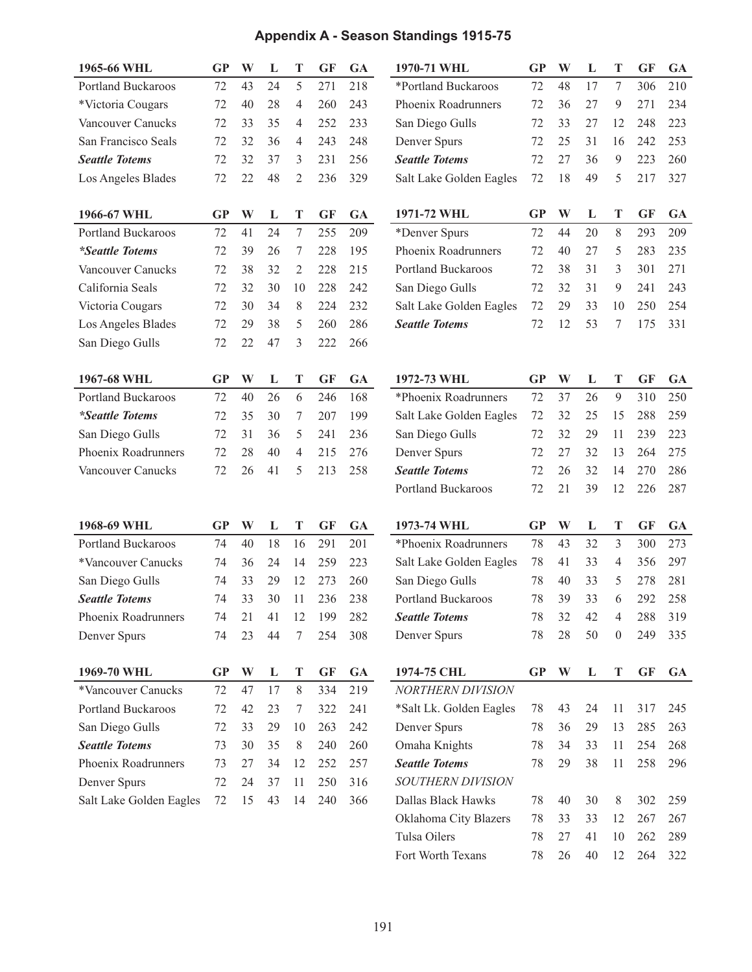### **Appendix A - Season Standings 1915-75**

| 1965-66 WHL               | $\bf GP$  | W  | L  | T              | <b>GF</b> | <b>GA</b> | 1970-71 WHL               | <b>GP</b> | W  | L  | T                | GF        | <b>GA</b> |
|---------------------------|-----------|----|----|----------------|-----------|-----------|---------------------------|-----------|----|----|------------------|-----------|-----------|
| <b>Portland Buckaroos</b> | 72        | 43 | 24 | 5              | 271       | 218       | *Portland Buckaroos       | 72        | 48 | 17 | 7                | 306       | 210       |
| *Victoria Cougars         | 72        | 40 | 28 | $\overline{4}$ | 260       | 243       | Phoenix Roadrunners       | 72        | 36 | 27 | $\mathfrak{g}$   | 271       | 234       |
| Vancouver Canucks         | 72        | 33 | 35 | $\overline{4}$ | 252       | 233       | San Diego Gulls           | 72        | 33 | 27 | 12               | 248       | 223       |
| San Francisco Seals       | 72        | 32 | 36 | 4              | 243       | 248       | Denver Spurs              | 72        | 25 | 31 | 16               | 242       | 253       |
| <b>Seattle Totems</b>     | 72        | 32 | 37 | 3              | 231       | 256       | <b>Seattle Totems</b>     | 72        | 27 | 36 | $\mathbf{9}$     | 223       | 260       |
| Los Angeles Blades        | 72        | 22 | 48 | $\overline{2}$ | 236       | 329       | Salt Lake Golden Eagles   | 72        | 18 | 49 | 5                | 217       | 327       |
|                           |           |    |    |                |           |           |                           |           |    |    |                  |           |           |
| 1966-67 WHL               | <b>GP</b> | W  | L  | T              | <b>GF</b> | <b>GA</b> | 1971-72 WHL               | <b>GP</b> | W  | L  | T                | <b>GF</b> | <b>GA</b> |
| <b>Portland Buckaroos</b> | 72        | 41 | 24 | $\tau$         | 255       | 209       | *Denver Spurs             | 72        | 44 | 20 | $8\,$            | 293       | 209       |
| <i>*Seattle Totems</i>    | 72        | 39 | 26 | 7              | 228       | 195       | Phoenix Roadrunners       | 72        | 40 | 27 | 5                | 283       | 235       |
| <b>Vancouver Canucks</b>  | 72        | 38 | 32 | $\overline{2}$ | 228       | 215       | <b>Portland Buckaroos</b> | 72        | 38 | 31 | 3                | 301       | 271       |
| California Seals          | 72        | 32 | 30 | 10             | 228       | 242       | San Diego Gulls           | 72        | 32 | 31 | 9                | 241       | 243       |
| Victoria Cougars          | 72        | 30 | 34 | 8              | 224       | 232       | Salt Lake Golden Eagles   | 72        | 29 | 33 | 10               | 250       | 254       |
| Los Angeles Blades        | 72        | 29 | 38 | 5              | 260       | 286       | <b>Seattle Totems</b>     | 72        | 12 | 53 | 7                | 175       | 331       |
| San Diego Gulls           | 72        | 22 | 47 | 3              | 222       | 266       |                           |           |    |    |                  |           |           |
|                           |           |    |    |                |           |           |                           |           |    |    |                  |           |           |
| 1967-68 WHL               | <b>GP</b> | W  | L  | T              | GF        | <b>GA</b> | 1972-73 WHL               | <b>GP</b> | W  | L  | T                | GF        | <b>GA</b> |
| Portland Buckaroos        | 72        | 40 | 26 | 6              | 246       | 168       | *Phoenix Roadrunners      | 72        | 37 | 26 | $\overline{9}$   | 310       | 250       |
| <i>*Seattle Totems</i>    | 72        | 35 | 30 | 7              | 207       | 199       | Salt Lake Golden Eagles   | 72        | 32 | 25 | 15               | 288       | 259       |
| San Diego Gulls           | 72        | 31 | 36 | 5              | 241       | 236       | San Diego Gulls           | 72        | 32 | 29 | 11               | 239       | 223       |
| Phoenix Roadrunners       | 72        | 28 | 40 | $\overline{4}$ | 215       | 276       | Denver Spurs              | 72        | 27 | 32 | 13               | 264       | 275       |
| Vancouver Canucks         | 72        | 26 | 41 | 5              | 213       | 258       | <b>Seattle Totems</b>     | 72        | 26 | 32 | 14               | 270       | 286       |
|                           |           |    |    |                |           |           | <b>Portland Buckaroos</b> | 72        | 21 | 39 | 12               | 226       | 287       |
|                           |           |    |    |                |           |           |                           |           |    |    |                  |           |           |
| 1968-69 WHL               | <b>GP</b> | W  | L  | T              | <b>GF</b> | <b>GA</b> | 1973-74 WHL               | <b>GP</b> | W  | L  | T                | <b>GF</b> | <b>GA</b> |
| <b>Portland Buckaroos</b> | 74        | 40 | 18 | 16             | 291       | 201       | *Phoenix Roadrunners      | 78        | 43 | 32 | $\mathfrak{Z}$   | 300       | 273       |
| *Vancouver Canucks        | 74        | 36 | 24 | 14             | 259       | 223       | Salt Lake Golden Eagles   | 78        | 41 | 33 | $\overline{4}$   | 356       | 297       |
| San Diego Gulls           | 74        | 33 | 29 | 12             | 273       | 260       | San Diego Gulls           | 78        | 40 | 33 | 5                | 278       | 281       |
| <b>Seattle Totems</b>     | 74        | 33 | 30 | 11             | 236       | 238       | <b>Portland Buckaroos</b> | 78        | 39 | 33 | 6                | 292       | 258       |
| Phoenix Roadrunners       | 74        | 21 | 41 | 12             | 199       | 282       | <b>Seattle Totems</b>     | 78        | 32 | 42 | 4                | 288       | 319       |
| Denver Spurs              | 74        | 23 | 44 | 7              | 254       | 308       | Denver Spurs              | 78        | 28 | 50 | $\boldsymbol{0}$ | 249       | 335       |
| 1969-70 WHL               | <b>GP</b> | W  | L  | T              | <b>GF</b> | <b>GA</b> | 1974-75 CHL               | GP        | W  | L  | T                | <b>GF</b> | <b>GA</b> |
| *Vancouver Canucks        | 72        | 47 | 17 | 8              | 334       | 219       | <b>NORTHERN DIVISION</b>  |           |    |    |                  |           |           |
| Portland Buckaroos        | 72        | 42 | 23 | 7              | 322       | 241       | *Salt Lk. Golden Eagles   | 78        | 43 | 24 | 11               | 317       | 245       |
| San Diego Gulls           | 72        | 33 | 29 | 10             | 263       | 242       | Denver Spurs              | 78        | 36 | 29 | 13               | 285       | 263       |
| <b>Seattle Totems</b>     | 73        | 30 | 35 | $8\,$          | 240       | 260       | Omaha Knights             | 78        | 34 | 33 | 11               | 254       | 268       |
| Phoenix Roadrunners       | 73        | 27 | 34 | 12             | 252       | 257       | <b>Seattle Totems</b>     | 78        | 29 | 38 | 11               | 258       | 296       |
|                           |           |    |    |                |           |           |                           |           |    |    |                  |           |           |
| Denver Spurs              | 72        | 24 | 37 | 11             | 250       | 316       | SOUTHERN DIVISION         |           |    |    |                  |           |           |
| Salt Lake Golden Eagles   | 72        | 15 | 43 | 14             | 240       | 366       | Dallas Black Hawks        | 78        | 40 | 30 | 8                | 302       | 259       |
|                           |           |    |    |                |           |           | Oklahoma City Blazers     | 78        | 33 | 33 | 12               | 267       | 267       |
|                           |           |    |    |                |           |           | Tulsa Oilers              | 78        | 27 | 41 | 10               | 262       | 289       |
|                           |           |    |    |                |           |           | Fort Worth Texans         | 78        | 26 | 40 | 12               | 264       | 322       |